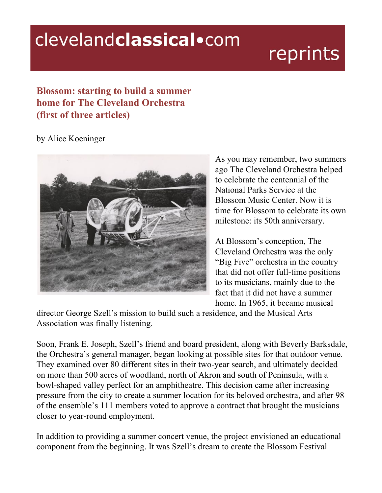## clevelandclassical.com

## reprints

## **Blossom: starting to build a summer home for The Cleveland Orchestra (first of three articles)**

by Alice Koeninger



As you may remember, two summers ago The Cleveland Orchestra helped to celebrate the centennial of the National Parks Service at the Blossom Music Center. Now it is time for Blossom to celebrate its own milestone: its 50th anniversary.

At Blossom's conception, The Cleveland Orchestra was the only "Big Five" orchestra in the country that did not offer full-time positions to its musicians, mainly due to the fact that it did not have a summer home. In 1965, it became musical

director George Szell's mission to build such a residence, and the Musical Arts Association was finally listening.

Soon, Frank E. Joseph, Szell's friend and board president, along with Beverly Barksdale, the Orchestra's general manager, began looking at possible sites for that outdoor venue. They examined over 80 different sites in their two-year search, and ultimately decided on more than 500 acres of woodland, north of Akron and south of Peninsula, with a bowl-shaped valley perfect for an amphitheatre. This decision came after increasing pressure from the city to create a summer location for its beloved orchestra, and after 98 of the ensemble's 111 members voted to approve a contract that brought the musicians closer to year-round employment.

In addition to providing a summer concert venue, the project envisioned an educational component from the beginning. It was Szell's dream to create the Blossom Festival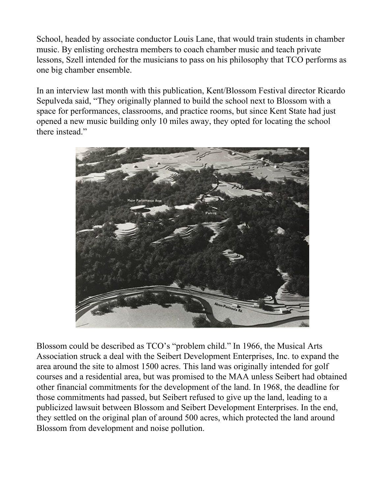School, headed by associate conductor Louis Lane, that would train students in chamber music. By enlisting orchestra members to coach chamber music and teach private lessons, Szell intended for the musicians to pass on his philosophy that TCO performs as one big chamber ensemble.

In an interview last month with this publication, Kent/Blossom Festival director Ricardo Sepulveda said, "They originally planned to build the school next to Blossom with a space for performances, classrooms, and practice rooms, but since Kent State had just opened a new music building only 10 miles away, they opted for locating the school there instead."



Blossom could be described as TCO's "problem child." In 1966, the Musical Arts Association struck a deal with the Seibert Development Enterprises, Inc. to expand the area around the site to almost 1500 acres. This land was originally intended for golf courses and a residential area, but was promised to the MAA unless Seibert had obtained other financial commitments for the development of the land. In 1968, the deadline for those commitments had passed, but Seibert refused to give up the land, leading to a publicized lawsuit between Blossom and Seibert Development Enterprises. In the end, they settled on the original plan of around 500 acres, which protected the land around Blossom from development and noise pollution.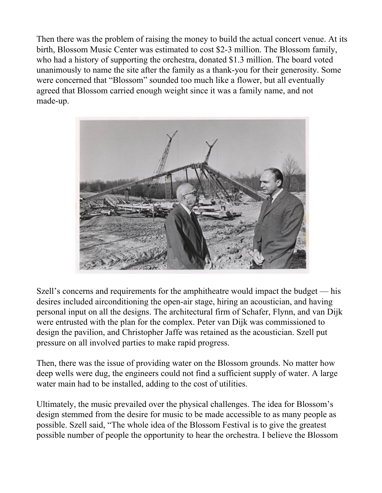Then there was the problem of raising the money to build the actual concert venue. At its birth, Blossom Music Center was estimated to cost \$2-3 million. The Blossom family, who had a history of supporting the orchestra, donated \$1.3 million. The board voted unanimously to name the site after the family as a thank-you for their generosity. Some were concerned that "Blossom" sounded too much like a flower, but all eventually agreed that Blossom carried enough weight since it was a family name, and not made-up.



Szell's concerns and requirements for the amphitheatre would impact the budget — his desires included airconditioning the open-air stage, hiring an acoustician, and having personal input on all the designs. The architectural firm of Schafer, Flynn, and van Dijk were entrusted with the plan for the complex. Peter van Dijk was commissioned to design the pavilion, and Christopher Jaffe was retained as the acoustician. Szell put pressure on all involved parties to make rapid progress.

Then, there was the issue of providing water on the Blossom grounds. No matter how deep wells were dug, the engineers could not find a sufficient supply of water. A large water main had to be installed, adding to the cost of utilities.

Ultimately, the music prevailed over the physical challenges. The idea for Blossom's design stemmed from the desire for music to be made accessible to as many people as possible. Szell said, "The whole idea of the Blossom Festival is to give the greatest possible number of people the opportunity to hear the orchestra. I believe the Blossom